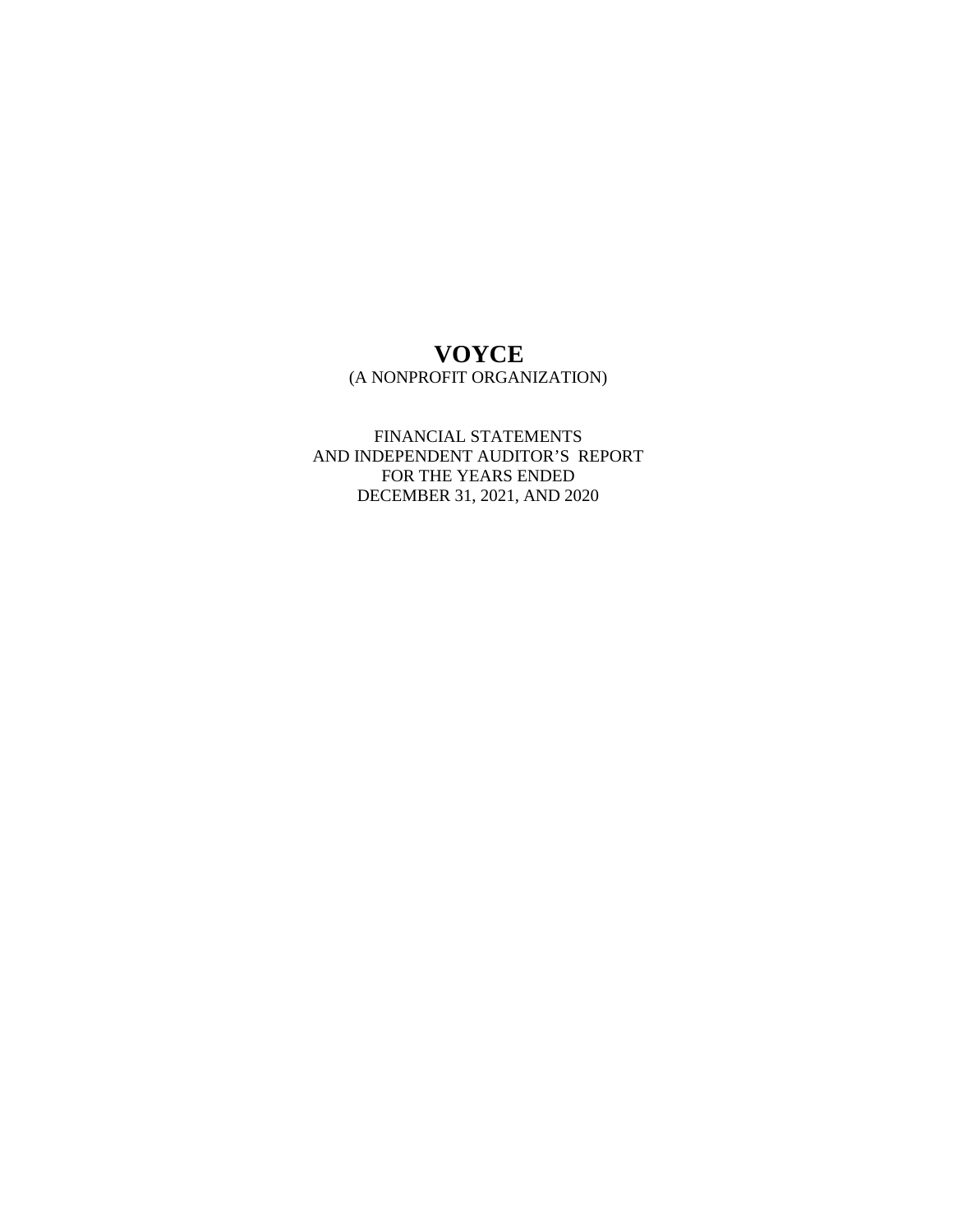# **VOYCE**

(A NONPROFIT ORGANIZATION)

FINANCIAL STATEMENTS AND INDEPENDENT AUDITOR'S REPORT FOR THE YEARS ENDED DECEMBER 31, 2021, AND 2020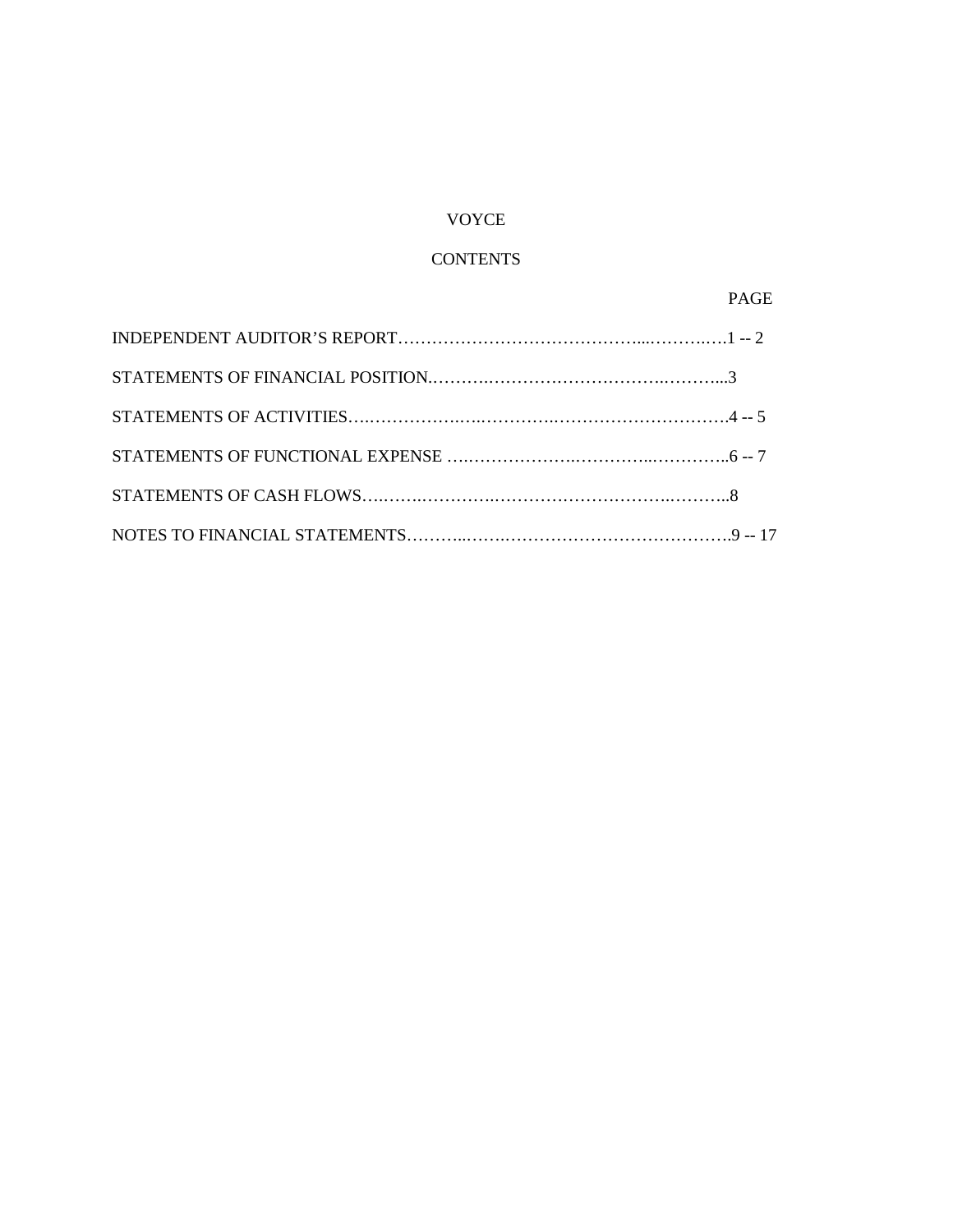# VOYCE

# **CONTENTS**

#### PAGE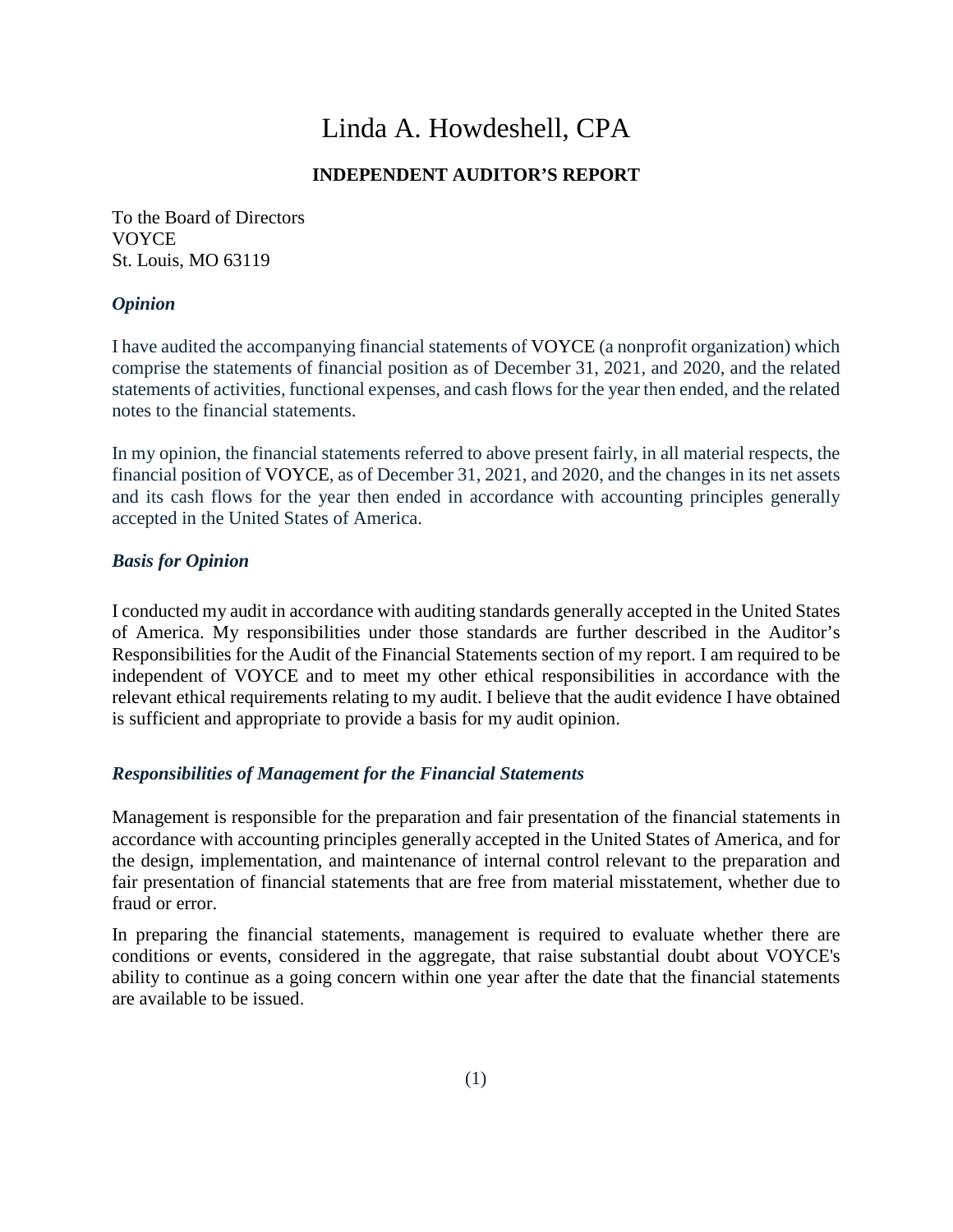# Linda A. Howdeshell, CPA

# **INDEPENDENT AUDITOR'S REPORT**

To the Board of Directors **VOYCE** St. Louis, MO 63119

# *Opinion*

I have audited the accompanying financial statements of VOYCE (a nonprofit organization) which comprise the statements of financial position as of December 31, 2021, and 2020, and the related statements of activities, functional expenses, and cash flows for the year then ended, and the related notes to the financial statements.

In my opinion, the financial statements referred to above present fairly, in all material respects, the financial position of VOYCE, as of December 31, 2021, and 2020, and the changes in its net assets and its cash flows for the year then ended in accordance with accounting principles generally accepted in the United States of America.

# *Basis for Opinion*

I conducted my audit in accordance with auditing standards generally accepted in the United States of America. My responsibilities under those standards are further described in the Auditor's Responsibilities for the Audit of the Financial Statements section of my report. I am required to be independent of VOYCE and to meet my other ethical responsibilities in accordance with the relevant ethical requirements relating to my audit. I believe that the audit evidence I have obtained is sufficient and appropriate to provide a basis for my audit opinion.

# *Responsibilities of Management for the Financial Statements*

Management is responsible for the preparation and fair presentation of the financial statements in accordance with accounting principles generally accepted in the United States of America, and for the design, implementation, and maintenance of internal control relevant to the preparation and fair presentation of financial statements that are free from material misstatement, whether due to fraud or error.

In preparing the financial statements, management is required to evaluate whether there are conditions or events, considered in the aggregate, that raise substantial doubt about VOYCE's ability to continue as a going concern within one year after the date that the financial statements are available to be issued.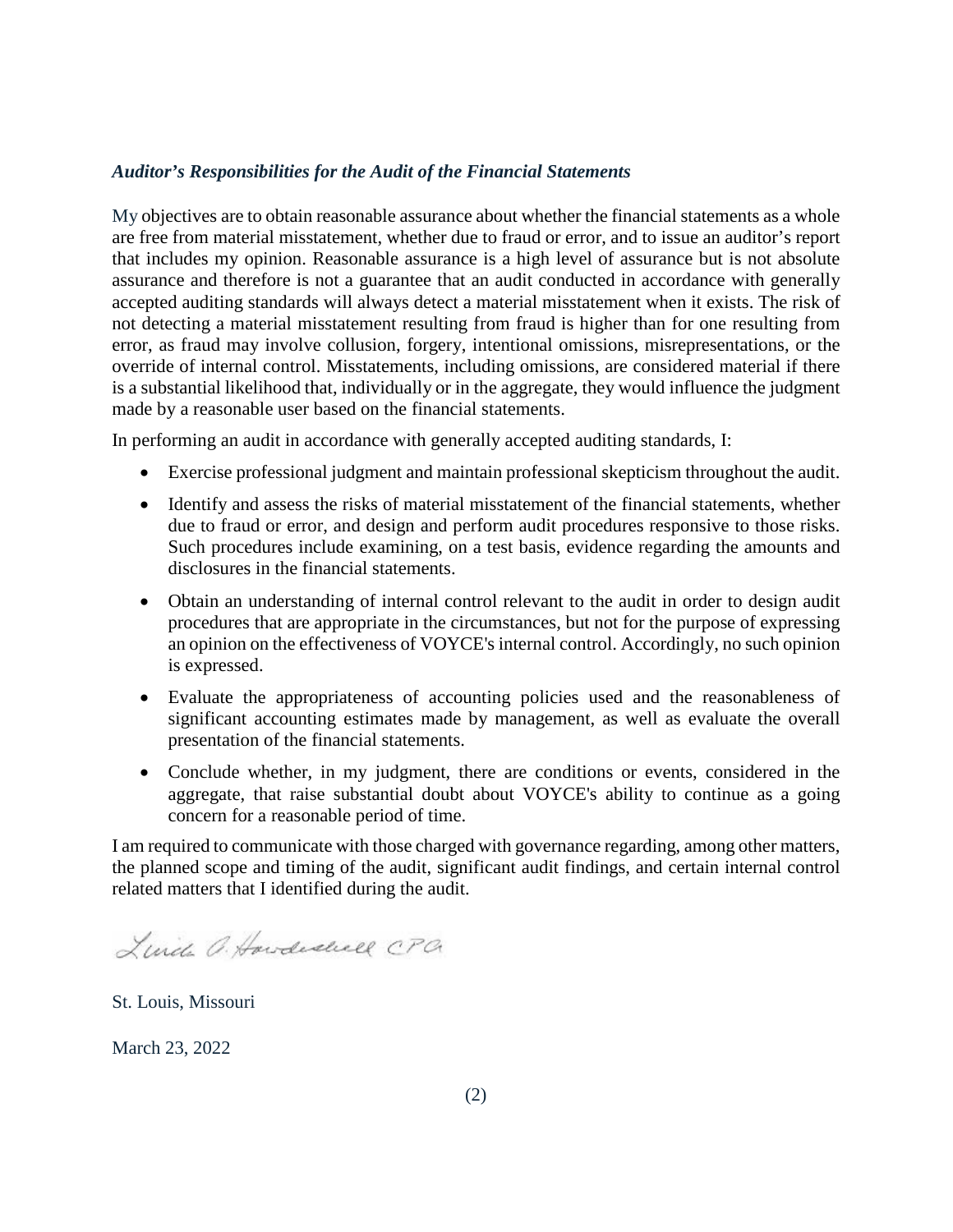# *Auditor's Responsibilities for the Audit of the Financial Statements*

My objectives are to obtain reasonable assurance about whether the financial statements as a whole are free from material misstatement, whether due to fraud or error, and to issue an auditor's report that includes my opinion. Reasonable assurance is a high level of assurance but is not absolute assurance and therefore is not a guarantee that an audit conducted in accordance with generally accepted auditing standards will always detect a material misstatement when it exists. The risk of not detecting a material misstatement resulting from fraud is higher than for one resulting from error, as fraud may involve collusion, forgery, intentional omissions, misrepresentations, or the override of internal control. Misstatements, including omissions, are considered material if there is a substantial likelihood that, individually or in the aggregate, they would influence the judgment made by a reasonable user based on the financial statements.

In performing an audit in accordance with generally accepted auditing standards, I:

- Exercise professional judgment and maintain professional skepticism throughout the audit.
- Identify and assess the risks of material misstatement of the financial statements, whether due to fraud or error, and design and perform audit procedures responsive to those risks. Such procedures include examining, on a test basis, evidence regarding the amounts and disclosures in the financial statements.
- Obtain an understanding of internal control relevant to the audit in order to design audit procedures that are appropriate in the circumstances, but not for the purpose of expressing an opinion on the effectiveness of VOYCE's internal control. Accordingly, no such opinion is expressed.
- Evaluate the appropriateness of accounting policies used and the reasonableness of significant accounting estimates made by management, as well as evaluate the overall presentation of the financial statements.
- Conclude whether, in my judgment, there are conditions or events, considered in the aggregate, that raise substantial doubt about VOYCE's ability to continue as a going concern for a reasonable period of time.

I am required to communicate with those charged with governance regarding, among other matters, the planned scope and timing of the audit, significant audit findings, and certain internal control related matters that I identified during the audit.

Luid O. Hardesliell CPG

St. Louis, Missouri

March 23, 2022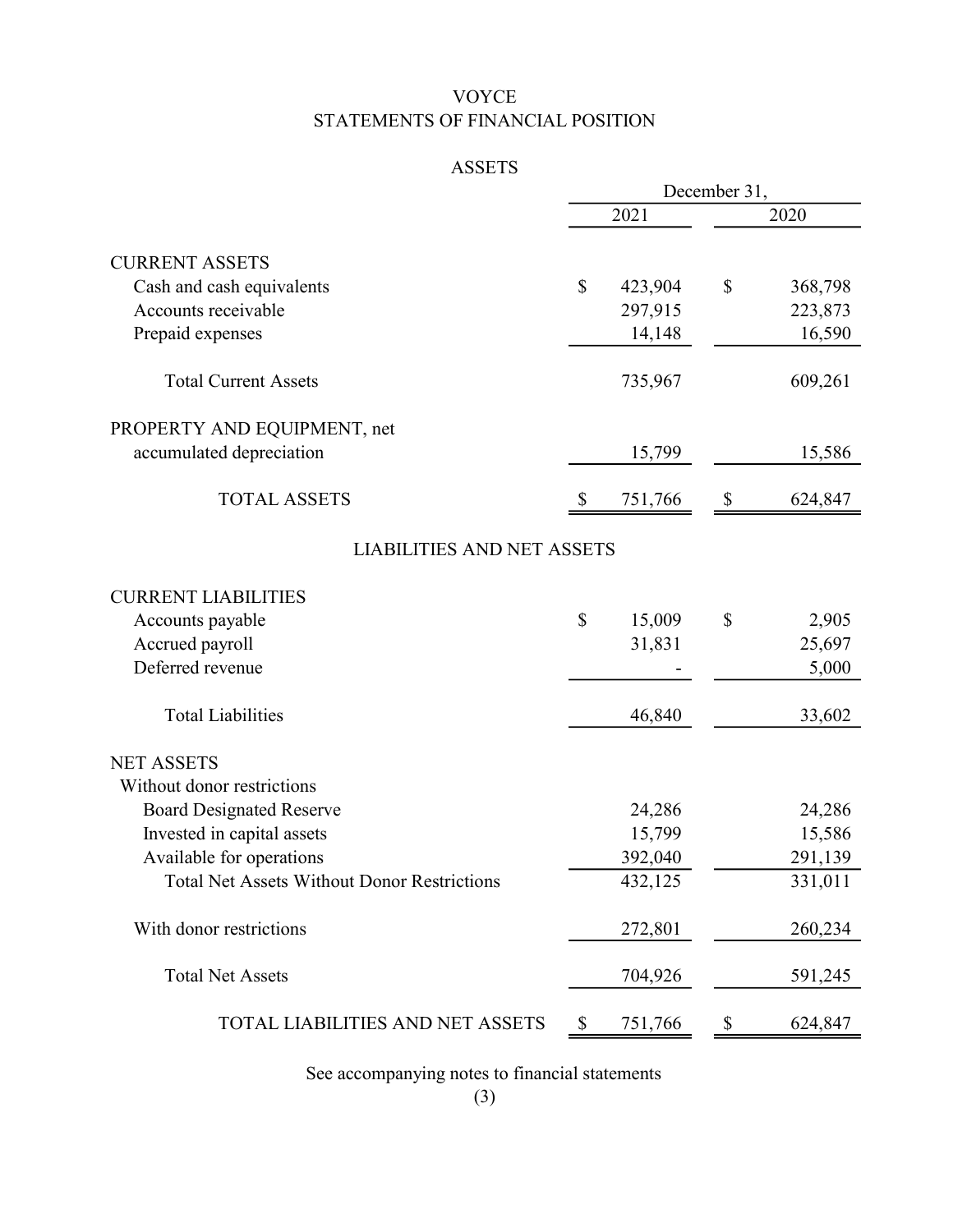# STATEMENTS OF FINANCIAL POSITION VOYCE

# ASSETS

|                                                    |                           |         | December 31,              |         |  |  |  |  |
|----------------------------------------------------|---------------------------|---------|---------------------------|---------|--|--|--|--|
|                                                    |                           | 2021    |                           | 2020    |  |  |  |  |
| <b>CURRENT ASSETS</b>                              |                           |         |                           |         |  |  |  |  |
| Cash and cash equivalents                          | \$                        | 423,904 | \$                        | 368,798 |  |  |  |  |
| Accounts receivable                                |                           | 297,915 |                           | 223,873 |  |  |  |  |
| Prepaid expenses                                   |                           | 14,148  |                           | 16,590  |  |  |  |  |
| <b>Total Current Assets</b>                        |                           | 735,967 |                           | 609,261 |  |  |  |  |
| PROPERTY AND EQUIPMENT, net                        |                           |         |                           |         |  |  |  |  |
| accumulated depreciation                           |                           | 15,799  |                           | 15,586  |  |  |  |  |
| <b>TOTAL ASSETS</b>                                | $\boldsymbol{\mathsf{S}}$ | 751,766 | $\boldsymbol{\mathsf{S}}$ | 624,847 |  |  |  |  |
| <b>LIABILITIES AND NET ASSETS</b>                  |                           |         |                           |         |  |  |  |  |
| <b>CURRENT LIABILITIES</b>                         |                           |         |                           |         |  |  |  |  |
| Accounts payable                                   | \$                        | 15,009  | $\mathbb{S}$              | 2,905   |  |  |  |  |
| Accrued payroll                                    |                           | 31,831  |                           | 25,697  |  |  |  |  |
| Deferred revenue                                   |                           |         |                           | 5,000   |  |  |  |  |
| <b>Total Liabilities</b>                           |                           | 46,840  |                           | 33,602  |  |  |  |  |
| <b>NET ASSETS</b>                                  |                           |         |                           |         |  |  |  |  |
| Without donor restrictions                         |                           |         |                           |         |  |  |  |  |
| <b>Board Designated Reserve</b>                    |                           | 24,286  |                           | 24,286  |  |  |  |  |
| Invested in capital assets                         |                           | 15,799  |                           | 15,586  |  |  |  |  |
| Available for operations                           |                           | 392,040 |                           | 291,139 |  |  |  |  |
| <b>Total Net Assets Without Donor Restrictions</b> |                           | 432,125 |                           | 331,011 |  |  |  |  |
| With donor restrictions                            |                           | 272,801 |                           | 260,234 |  |  |  |  |
| <b>Total Net Assets</b>                            |                           | 704,926 |                           | 591,245 |  |  |  |  |
| TOTAL LIABILITIES AND NET ASSETS                   | \$                        | 751,766 | $\$$                      | 624,847 |  |  |  |  |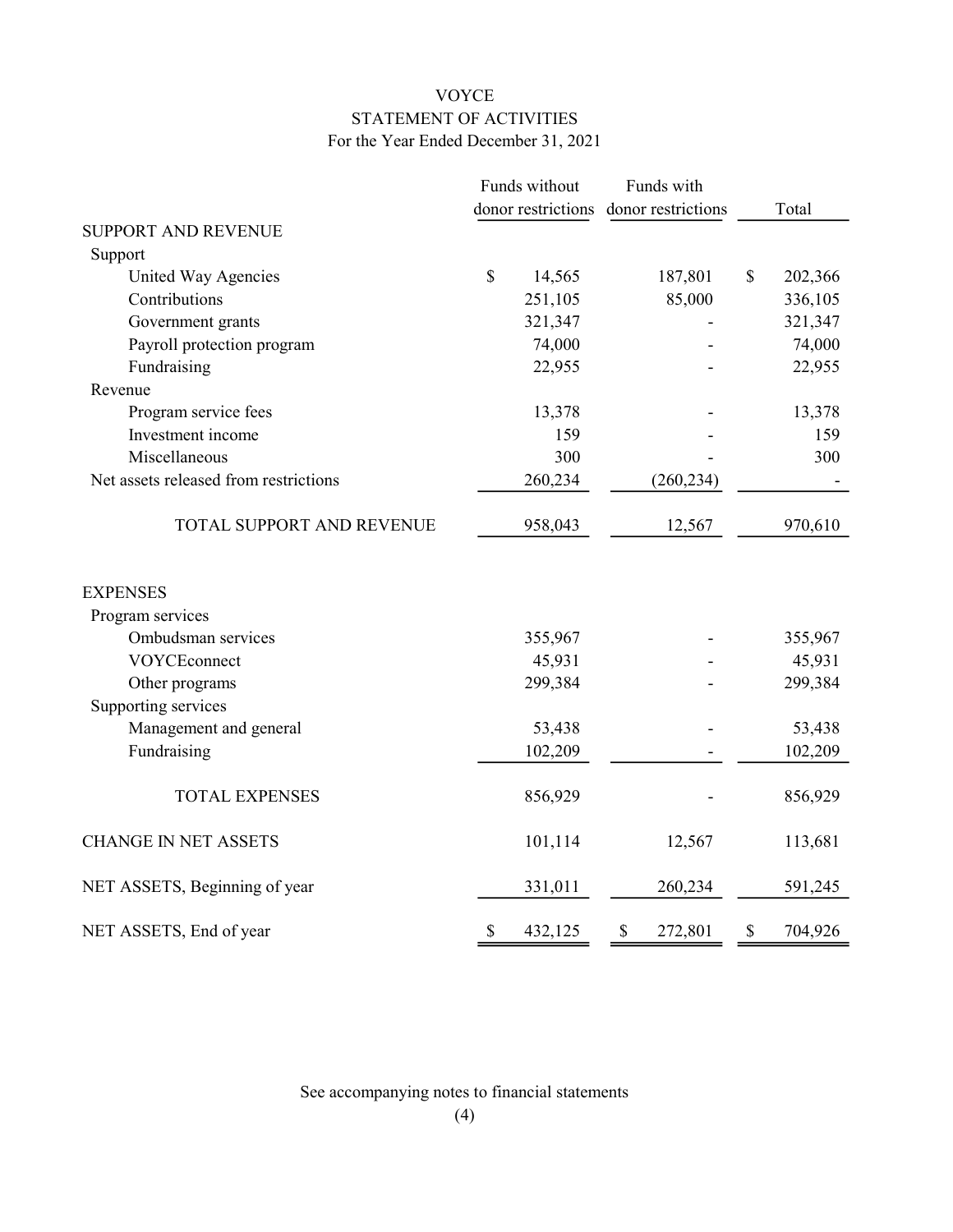# VOYCE STATEMENT OF ACTIVITIES For the Year Ended December 31, 2021

|                                       | Funds without                         |         |    | Funds with |               |
|---------------------------------------|---------------------------------------|---------|----|------------|---------------|
|                                       | donor restrictions donor restrictions |         |    |            | Total         |
| SUPPORT AND REVENUE                   |                                       |         |    |            |               |
| Support                               |                                       |         |    |            |               |
| United Way Agencies                   | \$                                    | 14,565  |    | 187,801    | \$<br>202,366 |
| Contributions                         |                                       | 251,105 |    | 85,000     | 336,105       |
| Government grants                     |                                       | 321,347 |    |            | 321,347       |
| Payroll protection program            |                                       | 74,000  |    |            | 74,000        |
| Fundraising                           |                                       | 22,955  |    |            | 22,955        |
| Revenue                               |                                       |         |    |            |               |
| Program service fees                  |                                       | 13,378  |    |            | 13,378        |
| Investment income                     |                                       | 159     |    |            | 159           |
| Miscellaneous                         |                                       | 300     |    |            | 300           |
| Net assets released from restrictions |                                       | 260,234 |    | (260, 234) |               |
| TOTAL SUPPORT AND REVENUE             |                                       | 958,043 |    | 12,567     | 970,610       |
| <b>EXPENSES</b>                       |                                       |         |    |            |               |
| Program services                      |                                       |         |    |            |               |
| Ombudsman services                    |                                       | 355,967 |    |            | 355,967       |
| VOYCEconnect                          |                                       | 45,931  |    |            | 45,931        |
| Other programs                        |                                       | 299,384 |    |            | 299,384       |
| Supporting services                   |                                       |         |    |            |               |
| Management and general                |                                       | 53,438  |    |            | 53,438        |
| Fundraising                           |                                       | 102,209 |    |            | 102,209       |
| <b>TOTAL EXPENSES</b>                 |                                       | 856,929 |    |            | 856,929       |
| <b>CHANGE IN NET ASSETS</b>           |                                       | 101,114 |    | 12,567     | 113,681       |
| NET ASSETS, Beginning of year         |                                       | 331,011 |    | 260,234    | 591,245       |
| NET ASSETS, End of year               | \$                                    | 432,125 | \$ | 272,801    | \$<br>704,926 |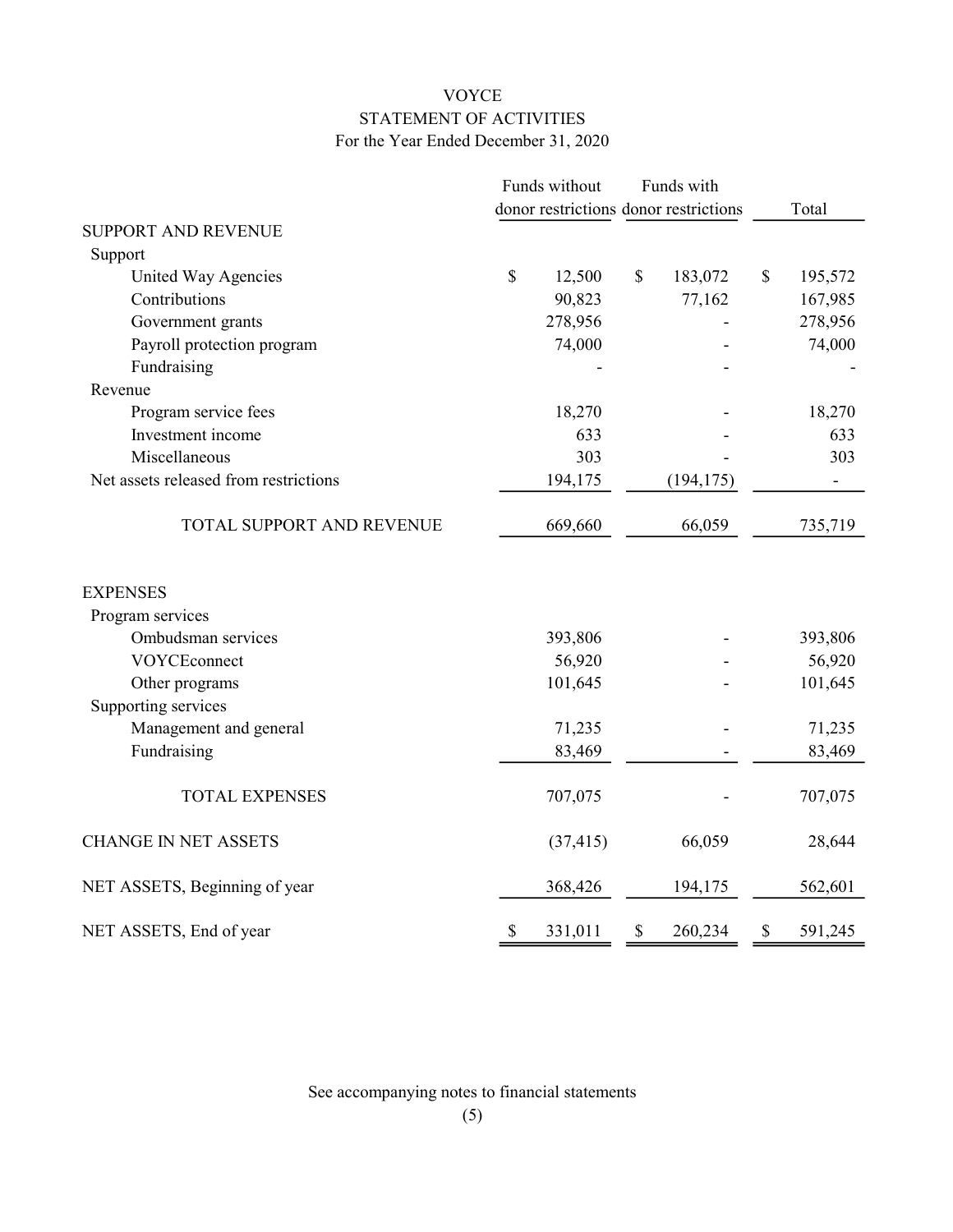# VOYCE STATEMENT OF ACTIVITIES For the Year Ended December 31, 2020

|                                       | Funds without | Funds with                            |               |
|---------------------------------------|---------------|---------------------------------------|---------------|
|                                       |               | donor restrictions donor restrictions | Total         |
| SUPPORT AND REVENUE                   |               |                                       |               |
| Support                               |               |                                       |               |
| United Way Agencies                   | \$<br>12,500  | \$<br>183,072                         | \$<br>195,572 |
| Contributions                         | 90,823        | 77,162                                | 167,985       |
| Government grants                     | 278,956       |                                       | 278,956       |
| Payroll protection program            | 74,000        |                                       | 74,000        |
| Fundraising                           |               |                                       |               |
| Revenue                               |               |                                       |               |
| Program service fees                  | 18,270        |                                       | 18,270        |
| Investment income                     | 633           |                                       | 633           |
| Miscellaneous                         | 303           |                                       | 303           |
| Net assets released from restrictions | 194,175       | (194, 175)                            |               |
| TOTAL SUPPORT AND REVENUE             | 669,660       | 66,059                                | 735,719       |
| <b>EXPENSES</b>                       |               |                                       |               |
| Program services                      |               |                                       |               |
| Ombudsman services                    | 393,806       |                                       | 393,806       |
| VOYCEconnect                          | 56,920        |                                       | 56,920        |
| Other programs                        | 101,645       |                                       | 101,645       |
| Supporting services                   |               |                                       |               |
| Management and general                | 71,235        |                                       | 71,235        |
| Fundraising                           | 83,469        |                                       | 83,469        |
| <b>TOTAL EXPENSES</b>                 | 707,075       |                                       | 707,075       |
| <b>CHANGE IN NET ASSETS</b>           | (37, 415)     | 66,059                                | 28,644        |
| NET ASSETS, Beginning of year         | 368,426       | 194,175                               | 562,601       |
| NET ASSETS, End of year               | \$<br>331,011 | \$<br>260,234                         | \$<br>591,245 |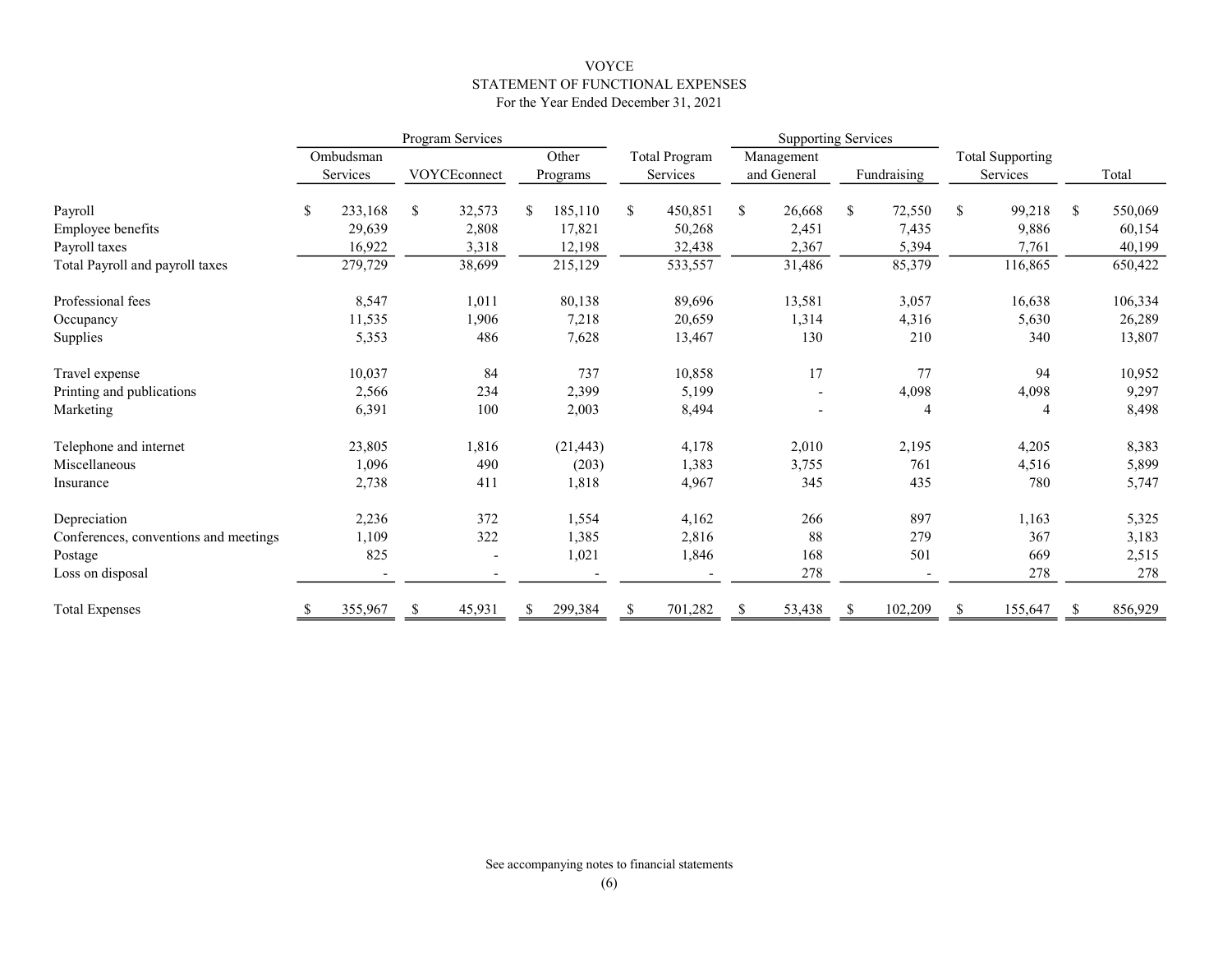#### VOYCE STATEMENT OF FUNCTIONAL EXPENSES For the Year Ended December 31, 2021

|                                       |              |           | Program Services |    |           | <b>Supporting Services</b> |               |    |             |             |                |          |                         |               |         |
|---------------------------------------|--------------|-----------|------------------|----|-----------|----------------------------|---------------|----|-------------|-------------|----------------|----------|-------------------------|---------------|---------|
|                                       |              | Ombudsman |                  |    | Other     |                            | Total Program |    | Management  |             |                |          | <b>Total Supporting</b> |               |         |
|                                       |              | Services  | VOYCEconnect     |    | Programs  |                            | Services      |    | and General | Fundraising |                | Services |                         | Total         |         |
| Payroll                               | \$           | 233,168   | \$<br>32,573     | \$ | 185,110   | S.                         | 450,851       | \$ | 26,668      | S.          | 72,550         | \$       | 99,218                  | S             | 550,069 |
| Employee benefits                     |              | 29,639    | 2,808            |    | 17,821    |                            | 50,268        |    | 2,451       |             | 7,435          |          | 9,886                   |               | 60,154  |
| Payroll taxes                         |              | 16,922    | 3,318            |    | 12,198    |                            | 32,438        |    | 2,367       |             | 5,394          |          | 7,761                   |               | 40,199  |
| Total Payroll and payroll taxes       |              | 279,729   | 38,699           |    | 215,129   |                            | 533,557       |    | 31,486      |             | 85,379         |          | 116,865                 |               | 650,422 |
| Professional fees                     |              | 8,547     | 1,011            |    | 80,138    |                            | 89,696        |    | 13,581      |             | 3,057          |          | 16,638                  |               | 106,334 |
| Occupancy                             |              | 11,535    | 1,906            |    | 7,218     |                            | 20,659        |    | 1,314       |             | 4,316          |          | 5,630                   |               | 26,289  |
| Supplies                              |              | 5,353     | 486              |    | 7,628     |                            | 13,467        |    | 130         |             | 210            |          | 340                     |               | 13,807  |
| Travel expense                        |              | 10,037    | 84               |    | 737       |                            | 10,858        |    | 17          |             | 77             |          | 94                      |               | 10,952  |
| Printing and publications             |              | 2,566     | 234              |    | 2,399     |                            | 5,199         |    |             |             | 4,098          |          | 4,098                   |               | 9,297   |
| Marketing                             |              | 6,391     | 100              |    | 2,003     |                            | 8,494         |    |             |             | $\overline{4}$ |          | $\overline{4}$          |               | 8,498   |
| Telephone and internet                |              | 23,805    | 1,816            |    | (21, 443) |                            | 4,178         |    | 2,010       |             | 2,195          |          | 4,205                   |               | 8,383   |
| Miscellaneous                         |              | 1,096     | 490              |    | (203)     |                            | 1,383         |    | 3,755       |             | 761            |          | 4,516                   |               | 5,899   |
| Insurance                             |              | 2,738     | 411              |    | 1,818     |                            | 4,967         |    | 345         |             | 435            |          | 780                     |               | 5,747   |
| Depreciation                          |              | 2,236     | 372              |    | 1,554     |                            | 4,162         |    | 266         |             | 897            |          | 1,163                   |               | 5,325   |
| Conferences, conventions and meetings |              | 1,109     | 322              |    | 1,385     |                            | 2,816         |    | 88          |             | 279            |          | 367                     |               | 3,183   |
| Postage                               |              | 825       |                  |    | 1,021     |                            | 1,846         |    | 168         |             | 501            |          | 669                     |               | 2,515   |
| Loss on disposal                      |              |           |                  |    |           |                            |               |    | 278         |             |                |          | 278                     |               | 278     |
| <b>Total Expenses</b>                 | <sup>S</sup> | 355,967   | \$<br>45,931     | S. | 299,384   | S.                         | 701,282       | S. | 53,438      | -S          | 102,209        | \$.      | 155,647                 | <sup>\$</sup> | 856,929 |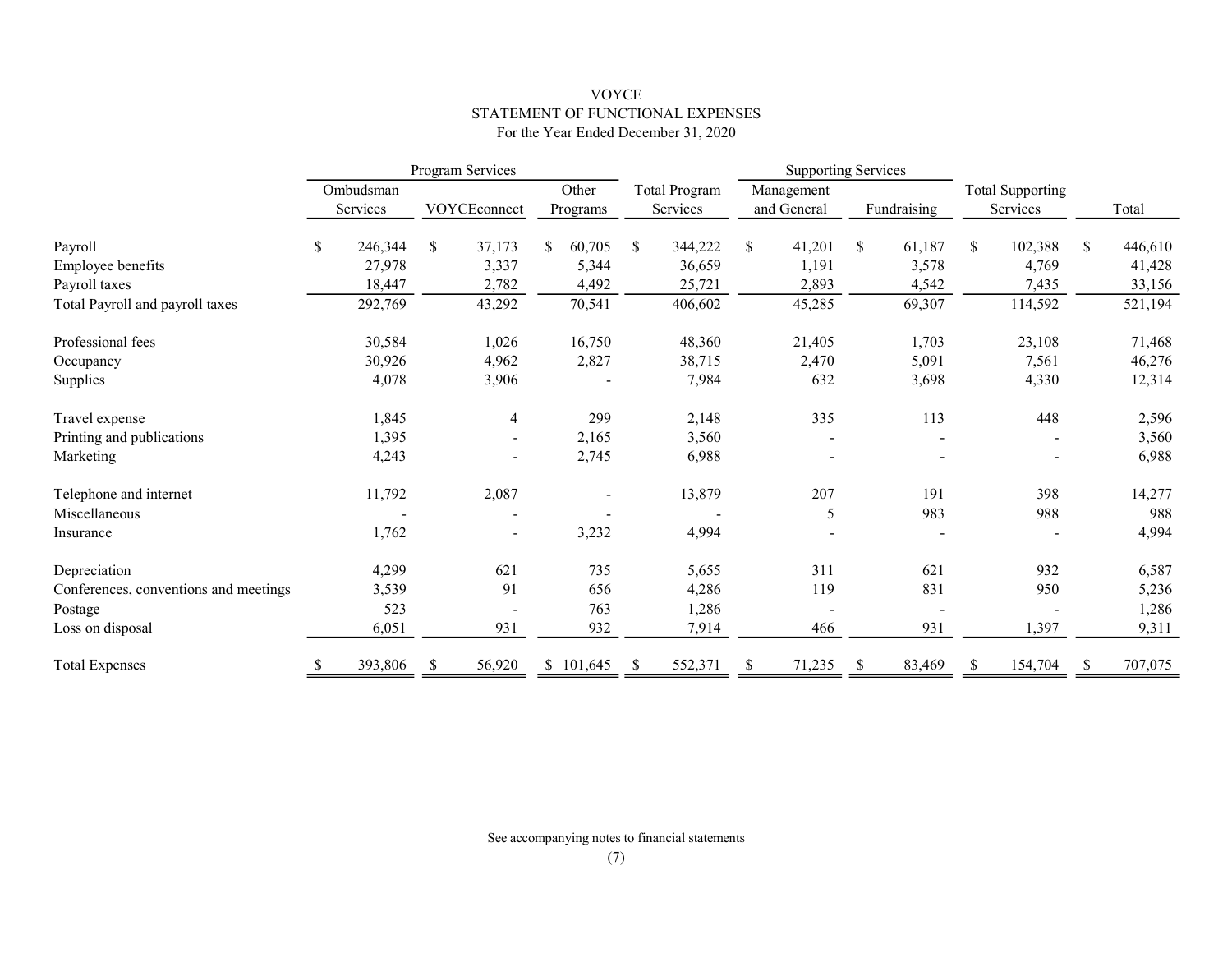|                                       | Program Services |          |    |                          |       |           |               | <b>Supporting Services</b> |              |             |               |             |                         |          |    |         |
|---------------------------------------|------------------|----------|----|--------------------------|-------|-----------|---------------|----------------------------|--------------|-------------|---------------|-------------|-------------------------|----------|----|---------|
|                                       | Ombudsman        |          |    |                          | Other |           | Total Program |                            | Management   |             |               |             | <b>Total Supporting</b> |          |    |         |
|                                       |                  | Services |    | VOYCEconnect             |       | Programs  |               | Services                   |              | and General |               | Fundraising |                         | Services |    | Total   |
| Payroll                               | \$               | 246,344  | \$ | 37,173                   | S.    | 60,705    | <sup>\$</sup> | 344,222                    | \$           | 41,201      | \$            | 61,187      | \$                      | 102,388  | \$ | 446,610 |
| Employee benefits                     |                  | 27,978   |    | 3,337                    |       | 5,344     |               | 36,659                     |              | 1,191       |               | 3,578       |                         | 4,769    |    | 41,428  |
| Payroll taxes                         |                  | 18,447   |    | 2,782                    |       | 4,492     |               | 25,721                     |              | 2,893       |               | 4,542       |                         | 7,435    |    | 33,156  |
| Total Payroll and payroll taxes       |                  | 292,769  |    | 43,292                   |       | 70,541    |               | 406,602                    |              | 45,285      |               | 69,307      |                         | 114,592  |    | 521,194 |
| Professional fees                     |                  | 30,584   |    | 1,026                    |       | 16,750    |               | 48,360                     |              | 21,405      |               | 1,703       |                         | 23,108   |    | 71,468  |
| Occupancy                             |                  | 30,926   |    | 4,962                    |       | 2,827     |               | 38,715                     |              | 2,470       |               | 5,091       |                         | 7,561    |    | 46,276  |
| Supplies                              |                  | 4,078    |    | 3,906                    |       |           |               | 7,984                      |              | 632         |               | 3,698       |                         | 4,330    |    | 12,314  |
| Travel expense                        |                  | 1,845    |    | 4                        |       | 299       |               | 2,148                      |              | 335         |               | 113         |                         | 448      |    | 2,596   |
| Printing and publications             |                  | 1,395    |    |                          |       | 2,165     |               | 3,560                      |              |             |               |             |                         |          |    | 3,560   |
| Marketing                             |                  | 4,243    |    |                          |       | 2,745     |               | 6,988                      |              |             |               |             |                         |          |    | 6,988   |
| Telephone and internet                |                  | 11,792   |    | 2,087                    |       |           |               | 13,879                     |              | 207         |               | 191         |                         | 398      |    | 14,277  |
| Miscellaneous                         |                  |          |    |                          |       |           |               |                            |              | 5           |               | 983         |                         | 988      |    | 988     |
| Insurance                             |                  | 1,762    |    | $\overline{\phantom{a}}$ |       | 3,232     |               | 4,994                      |              |             |               |             |                         |          |    | 4,994   |
| Depreciation                          |                  | 4,299    |    | 621                      |       | 735       |               | 5,655                      |              | 311         |               | 621         |                         | 932      |    | 6,587   |
| Conferences, conventions and meetings |                  | 3,539    |    | 91                       |       | 656       |               | 4,286                      |              | 119         |               | 831         |                         | 950      |    | 5,236   |
| Postage                               |                  | 523      |    |                          |       | 763       |               | 1,286                      |              |             |               |             |                         |          |    | 1,286   |
| Loss on disposal                      |                  | 6,051    |    | 931                      |       | 932       |               | 7,914                      |              | 466         |               | 931         |                         | 1,397    |    | 9,311   |
| <b>Total Expenses</b>                 | \$               | 393,806  | S  | 56,920                   |       | \$101,645 | S             | 552,371                    | <sup>S</sup> | 71,235      | <sup>\$</sup> | 83,469      | S                       | 154,704  | S  | 707,075 |

#### VOYCE STATEMENT OF FUNCTIONAL EXPENSES For the Year Ended December 31, 2020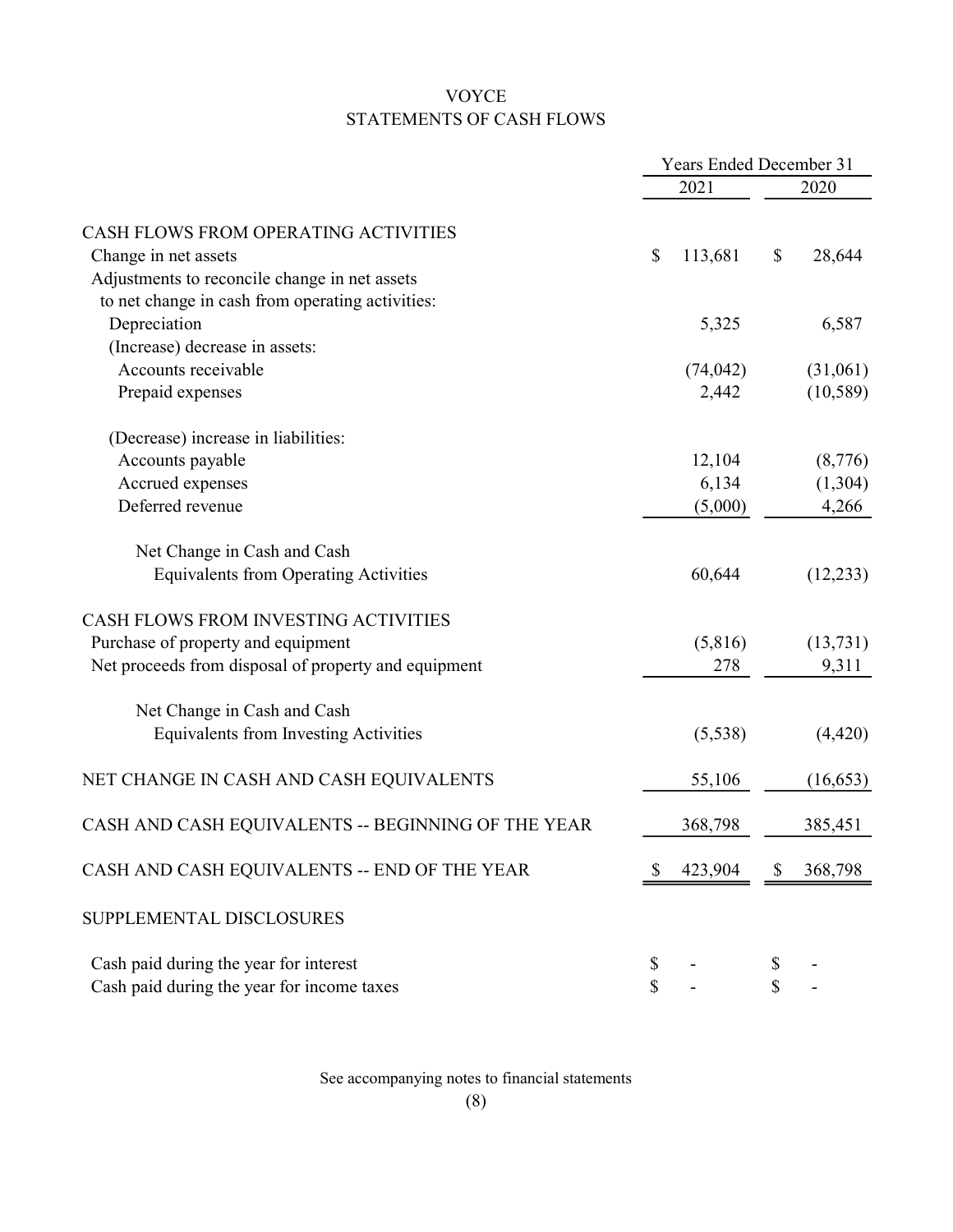# STATEMENTS OF CASH FLOWS VOYCE

|                                                      |    | Years Ended December 31 |    |           |
|------------------------------------------------------|----|-------------------------|----|-----------|
|                                                      |    | 2021                    |    | 2020      |
| CASH FLOWS FROM OPERATING ACTIVITIES                 |    |                         |    |           |
| Change in net assets                                 | \$ | 113,681                 | \$ | 28,644    |
| Adjustments to reconcile change in net assets        |    |                         |    |           |
| to net change in cash from operating activities:     |    |                         |    |           |
| Depreciation                                         |    | 5,325                   |    | 6,587     |
| (Increase) decrease in assets:                       |    |                         |    |           |
| Accounts receivable                                  |    | (74, 042)               |    | (31,061)  |
| Prepaid expenses                                     |    | 2,442                   |    | (10, 589) |
| (Decrease) increase in liabilities:                  |    |                         |    |           |
| Accounts payable                                     |    | 12,104                  |    | (8,776)   |
| Accrued expenses                                     |    | 6,134                   |    | (1,304)   |
| Deferred revenue                                     |    | (5,000)                 |    | 4,266     |
| Net Change in Cash and Cash                          |    |                         |    |           |
| <b>Equivalents from Operating Activities</b>         |    | 60,644                  |    | (12, 233) |
| CASH FLOWS FROM INVESTING ACTIVITIES                 |    |                         |    |           |
| Purchase of property and equipment                   |    | (5,816)                 |    | (13, 731) |
| Net proceeds from disposal of property and equipment |    | 278                     |    | 9,311     |
| Net Change in Cash and Cash                          |    |                         |    |           |
| <b>Equivalents from Investing Activities</b>         |    | (5,538)                 |    | (4, 420)  |
| NET CHANGE IN CASH AND CASH EQUIVALENTS              |    | 55,106                  |    | (16, 653) |
| CASH AND CASH EQUIVALENTS -- BEGINNING OF THE YEAR   |    | 368,798                 |    | 385,451   |
| CASH AND CASH EQUIVALENTS -- END OF THE YEAR         | S  | 423,904                 | \$ | 368,798   |
| SUPPLEMENTAL DISCLOSURES                             |    |                         |    |           |
|                                                      |    |                         |    |           |
| Cash paid during the year for interest               | \$ |                         |    |           |
| Cash paid during the year for income taxes           | \$ |                         | \$ |           |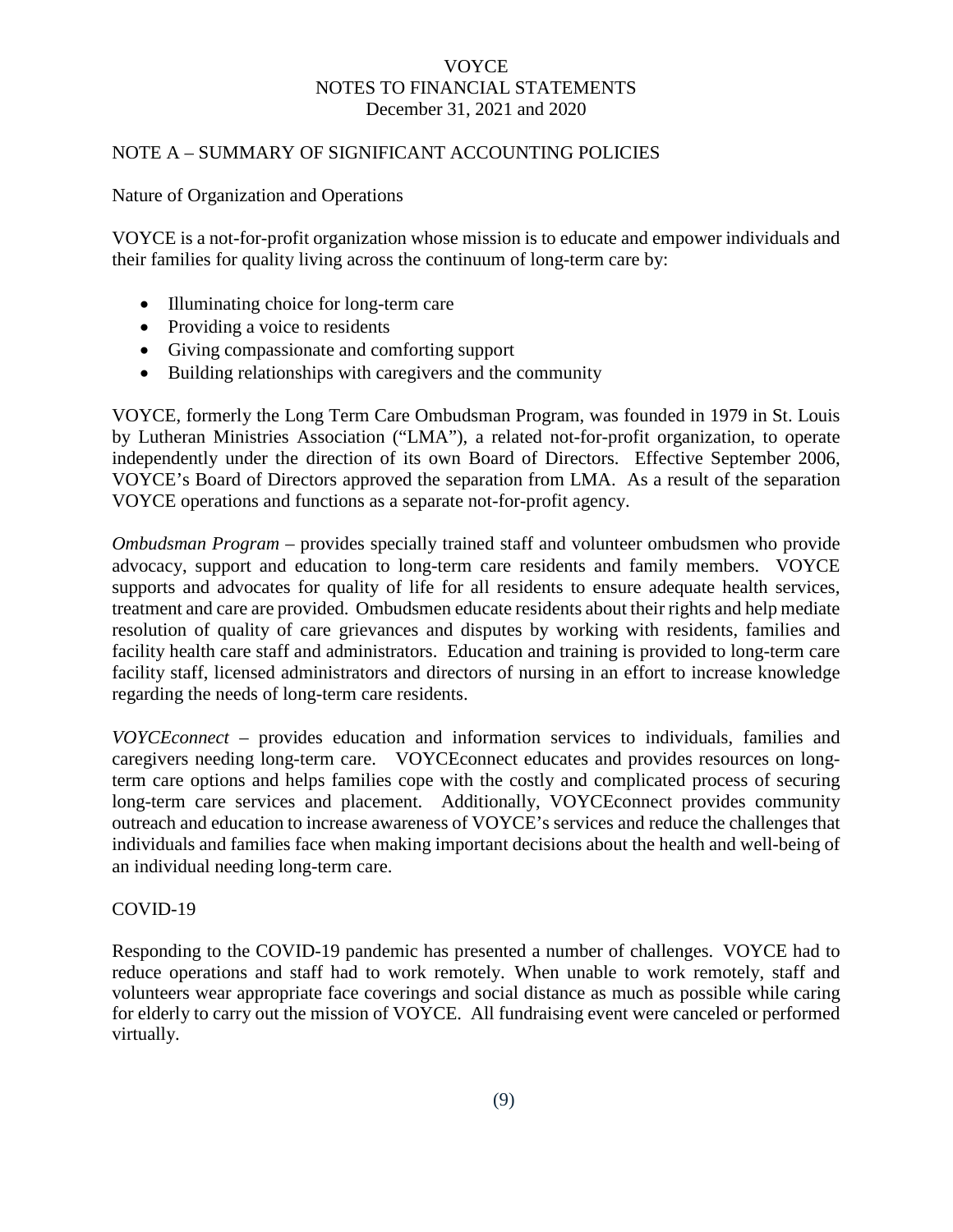### NOTE A – SUMMARY OF SIGNIFICANT ACCOUNTING POLICIES

Nature of Organization and Operations

VOYCE is a not-for-profit organization whose mission is to educate and empower individuals and their families for quality living across the continuum of long-term care by:

- Illuminating choice for long-term care
- Providing a voice to residents
- Giving compassionate and comforting support
- Building relationships with caregivers and the community

VOYCE, formerly the Long Term Care Ombudsman Program, was founded in 1979 in St. Louis by Lutheran Ministries Association ("LMA"), a related not-for-profit organization, to operate independently under the direction of its own Board of Directors. Effective September 2006, VOYCE's Board of Directors approved the separation from LMA. As a result of the separation VOYCE operations and functions as a separate not-for-profit agency.

*Ombudsman Program –* provides specially trained staff and volunteer ombudsmen who provide advocacy, support and education to long-term care residents and family members. VOYCE supports and advocates for quality of life for all residents to ensure adequate health services, treatment and care are provided. Ombudsmen educate residents about their rights and help mediate resolution of quality of care grievances and disputes by working with residents, families and facility health care staff and administrators. Education and training is provided to long-term care facility staff, licensed administrators and directors of nursing in an effort to increase knowledge regarding the needs of long-term care residents.

*VOYCEconnect* – provides education and information services to individuals, families and caregivers needing long-term care. VOYCEconnect educates and provides resources on longterm care options and helps families cope with the costly and complicated process of securing long-term care services and placement. Additionally, VOYCEconnect provides community outreach and education to increase awareness of VOYCE's services and reduce the challenges that individuals and families face when making important decisions about the health and well-being of an individual needing long-term care.

#### COVID-19

Responding to the COVID-19 pandemic has presented a number of challenges. VOYCE had to reduce operations and staff had to work remotely. When unable to work remotely, staff and volunteers wear appropriate face coverings and social distance as much as possible while caring for elderly to carry out the mission of VOYCE. All fundraising event were canceled or performed virtually.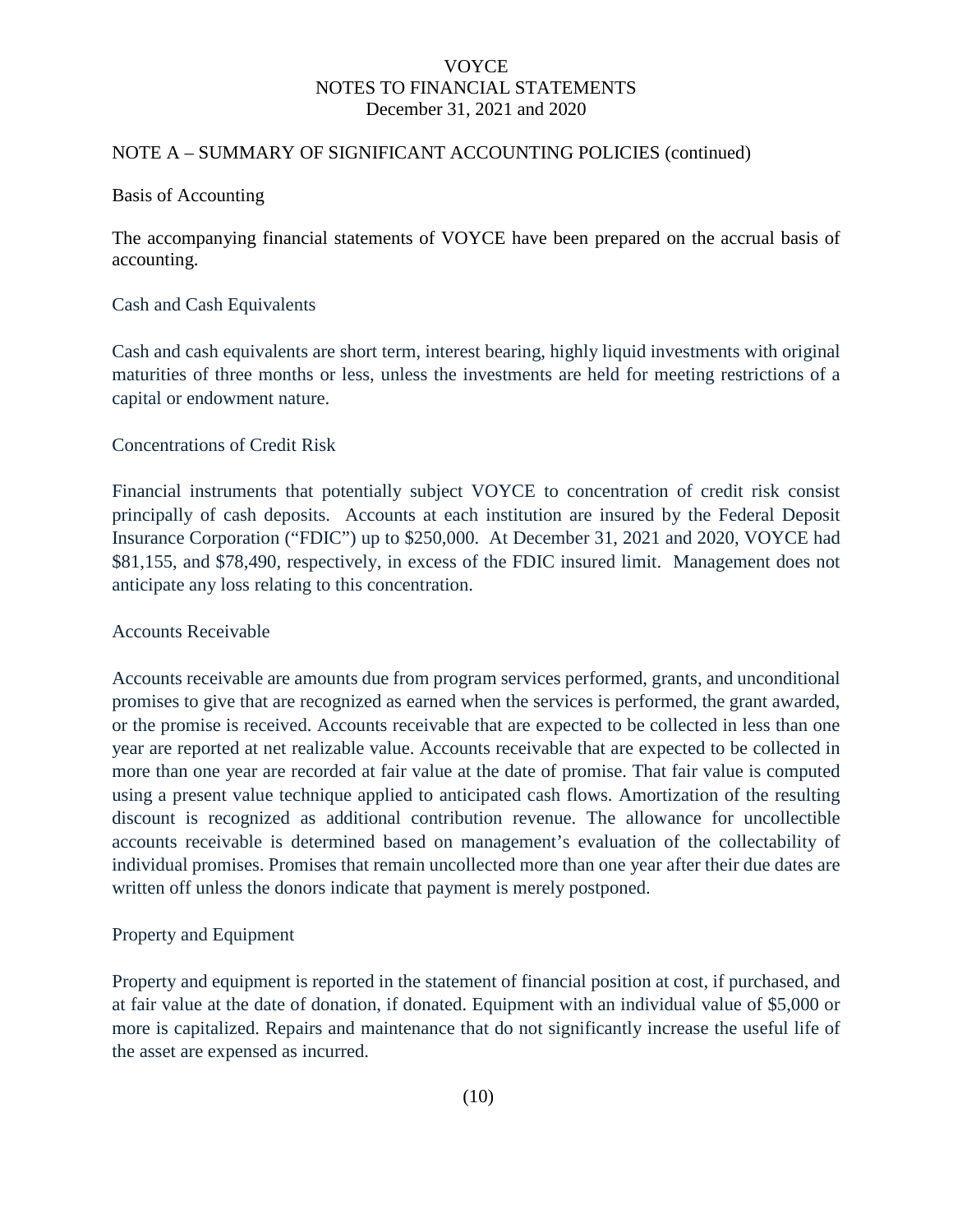#### NOTE A – SUMMARY OF SIGNIFICANT ACCOUNTING POLICIES (continued)

Basis of Accounting

The accompanying financial statements of VOYCE have been prepared on the accrual basis of accounting.

#### Cash and Cash Equivalents

Cash and cash equivalents are short term, interest bearing, highly liquid investments with original maturities of three months or less, unless the investments are held for meeting restrictions of a capital or endowment nature.

#### Concentrations of Credit Risk

Financial instruments that potentially subject VOYCE to concentration of credit risk consist principally of cash deposits. Accounts at each institution are insured by the Federal Deposit Insurance Corporation ("FDIC") up to \$250,000. At December 31, 2021 and 2020, VOYCE had \$81,155, and \$78,490, respectively, in excess of the FDIC insured limit. Management does not anticipate any loss relating to this concentration.

# Accounts Receivable

Accounts receivable are amounts due from program services performed, grants, and unconditional promises to give that are recognized as earned when the services is performed, the grant awarded, or the promise is received. Accounts receivable that are expected to be collected in less than one year are reported at net realizable value. Accounts receivable that are expected to be collected in more than one year are recorded at fair value at the date of promise. That fair value is computed using a present value technique applied to anticipated cash flows. Amortization of the resulting discount is recognized as additional contribution revenue. The allowance for uncollectible accounts receivable is determined based on management's evaluation of the collectability of individual promises. Promises that remain uncollected more than one year after their due dates are written off unless the donors indicate that payment is merely postponed.

#### Property and Equipment

Property and equipment is reported in the statement of financial position at cost, if purchased, and at fair value at the date of donation, if donated. Equipment with an individual value of \$5,000 or more is capitalized. Repairs and maintenance that do not significantly increase the useful life of the asset are expensed as incurred.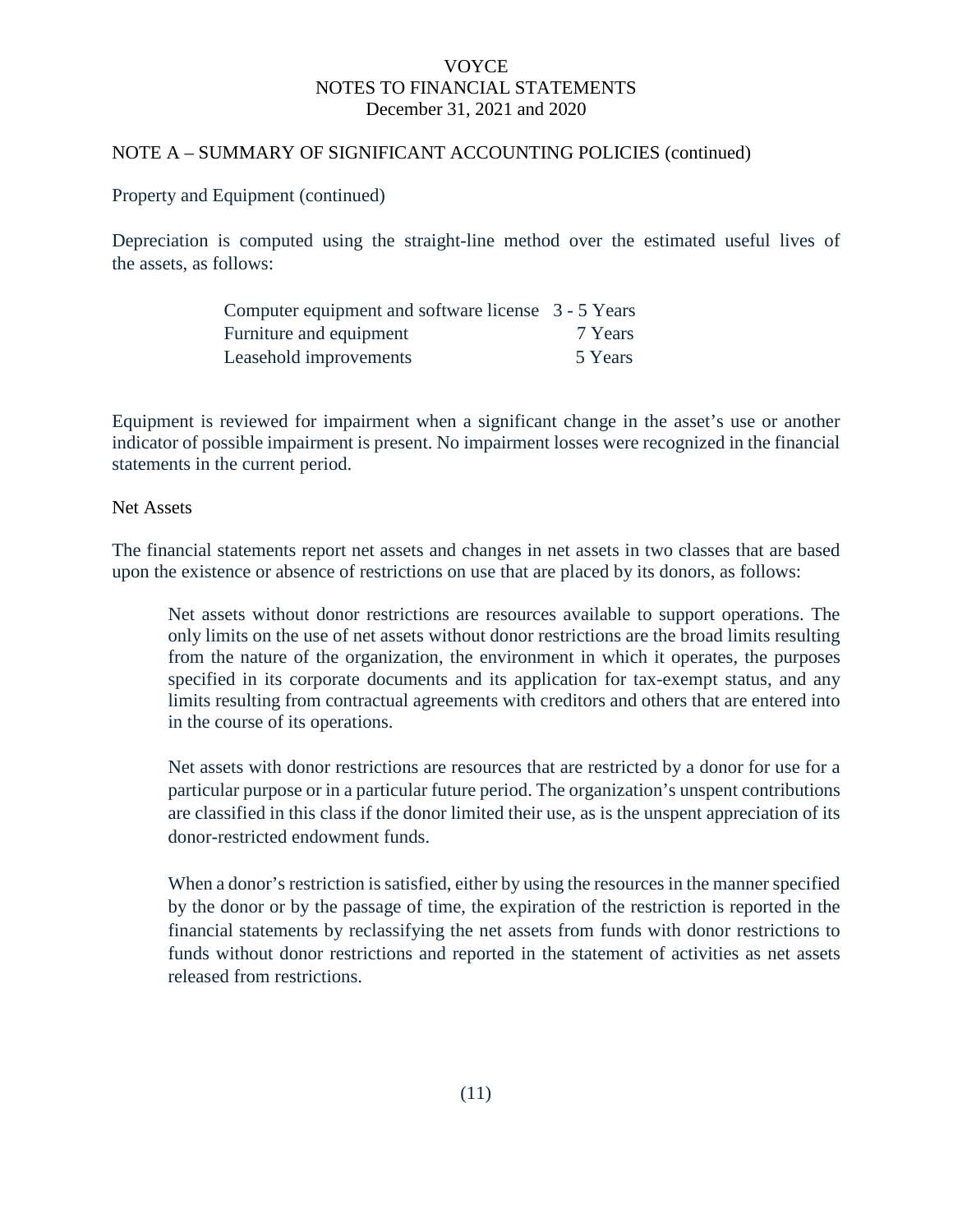#### NOTE A – SUMMARY OF SIGNIFICANT ACCOUNTING POLICIES (continued)

Property and Equipment (continued)

Depreciation is computed using the straight-line method over the estimated useful lives of the assets, as follows:

| Computer equipment and software license 3 - 5 Years |         |
|-----------------------------------------------------|---------|
| Furniture and equipment                             | 7 Years |
| Leasehold improvements                              | 5 Years |

Equipment is reviewed for impairment when a significant change in the asset's use or another indicator of possible impairment is present. No impairment losses were recognized in the financial statements in the current period.

Net Assets

The financial statements report net assets and changes in net assets in two classes that are based upon the existence or absence of restrictions on use that are placed by its donors, as follows:

Net assets without donor restrictions are resources available to support operations. The only limits on the use of net assets without donor restrictions are the broad limits resulting from the nature of the organization, the environment in which it operates, the purposes specified in its corporate documents and its application for tax-exempt status, and any limits resulting from contractual agreements with creditors and others that are entered into in the course of its operations.

Net assets with donor restrictions are resources that are restricted by a donor for use for a particular purpose or in a particular future period. The organization's unspent contributions are classified in this class if the donor limited their use, as is the unspent appreciation of its donor-restricted endowment funds.

When a donor's restriction is satisfied, either by using the resources in the manner specified by the donor or by the passage of time, the expiration of the restriction is reported in the financial statements by reclassifying the net assets from funds with donor restrictions to funds without donor restrictions and reported in the statement of activities as net assets released from restrictions.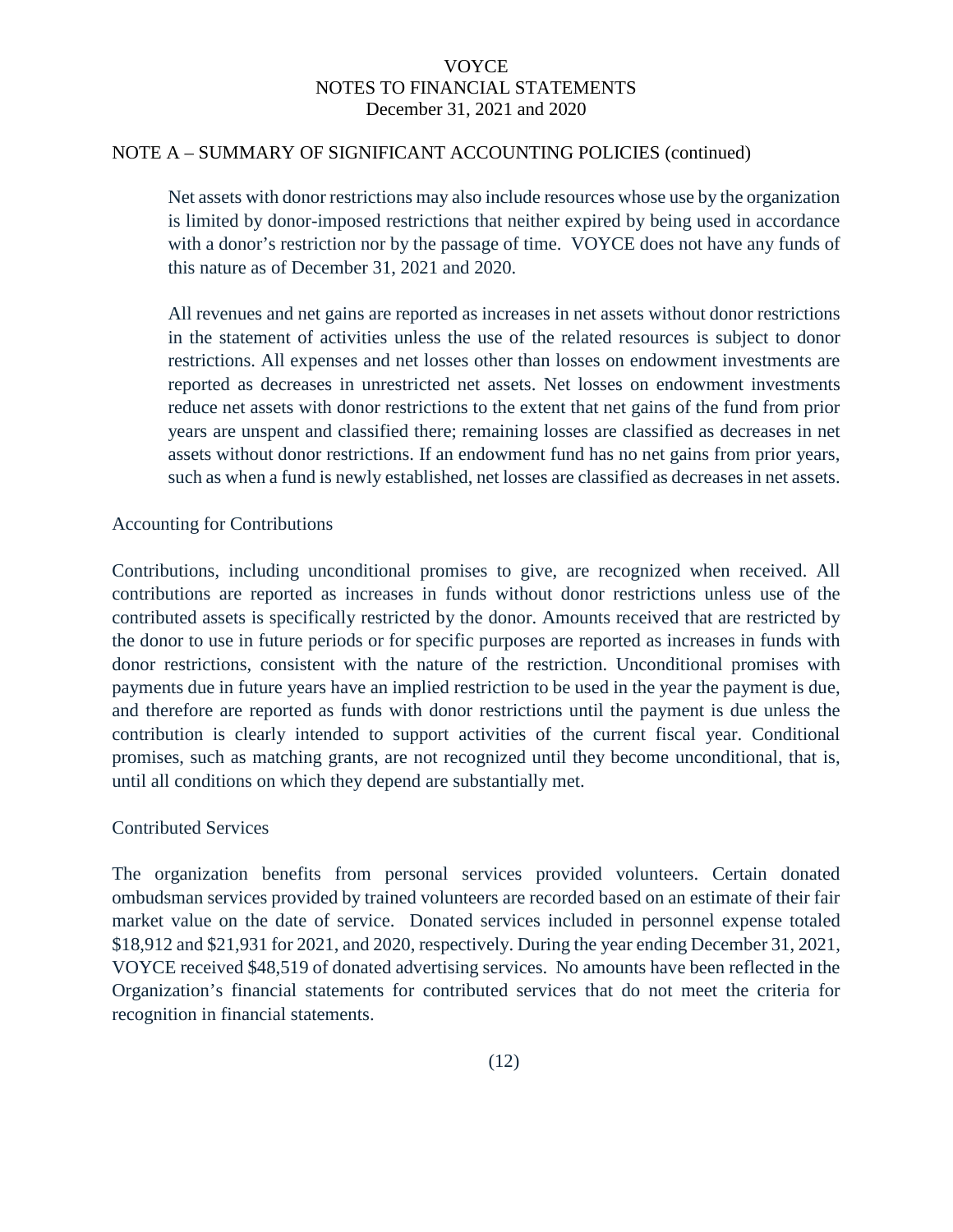#### NOTE A – SUMMARY OF SIGNIFICANT ACCOUNTING POLICIES (continued)

Net assets with donor restrictions may also include resources whose use by the organization is limited by donor-imposed restrictions that neither expired by being used in accordance with a donor's restriction nor by the passage of time. VOYCE does not have any funds of this nature as of December 31, 2021 and 2020.

All revenues and net gains are reported as increases in net assets without donor restrictions in the statement of activities unless the use of the related resources is subject to donor restrictions. All expenses and net losses other than losses on endowment investments are reported as decreases in unrestricted net assets. Net losses on endowment investments reduce net assets with donor restrictions to the extent that net gains of the fund from prior years are unspent and classified there; remaining losses are classified as decreases in net assets without donor restrictions. If an endowment fund has no net gains from prior years, such as when a fund is newly established, net losses are classified as decreases in net assets.

#### Accounting for Contributions

Contributions, including unconditional promises to give, are recognized when received. All contributions are reported as increases in funds without donor restrictions unless use of the contributed assets is specifically restricted by the donor. Amounts received that are restricted by the donor to use in future periods or for specific purposes are reported as increases in funds with donor restrictions, consistent with the nature of the restriction. Unconditional promises with payments due in future years have an implied restriction to be used in the year the payment is due, and therefore are reported as funds with donor restrictions until the payment is due unless the contribution is clearly intended to support activities of the current fiscal year. Conditional promises, such as matching grants, are not recognized until they become unconditional, that is, until all conditions on which they depend are substantially met.

#### Contributed Services

The organization benefits from personal services provided volunteers. Certain donated ombudsman services provided by trained volunteers are recorded based on an estimate of their fair market value on the date of service. Donated services included in personnel expense totaled \$18,912 and \$21,931 for 2021, and 2020, respectively. During the year ending December 31, 2021, VOYCE received \$48,519 of donated advertising services. No amounts have been reflected in the Organization's financial statements for contributed services that do not meet the criteria for recognition in financial statements.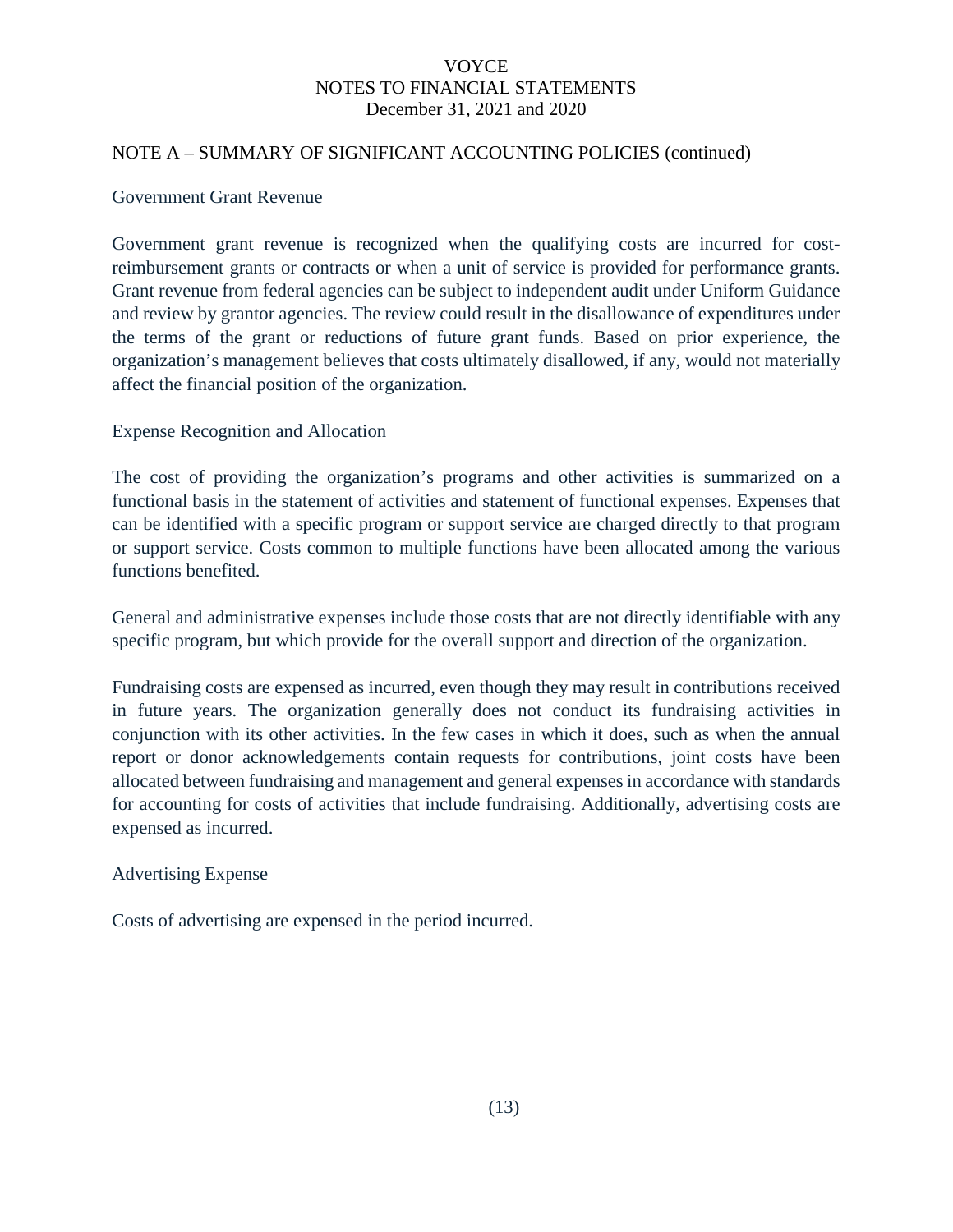# NOTE A – SUMMARY OF SIGNIFICANT ACCOUNTING POLICIES (continued)

#### Government Grant Revenue

Government grant revenue is recognized when the qualifying costs are incurred for costreimbursement grants or contracts or when a unit of service is provided for performance grants. Grant revenue from federal agencies can be subject to independent audit under Uniform Guidance and review by grantor agencies. The review could result in the disallowance of expenditures under the terms of the grant or reductions of future grant funds. Based on prior experience, the organization's management believes that costs ultimately disallowed, if any, would not materially affect the financial position of the organization.

#### Expense Recognition and Allocation

The cost of providing the organization's programs and other activities is summarized on a functional basis in the statement of activities and statement of functional expenses. Expenses that can be identified with a specific program or support service are charged directly to that program or support service. Costs common to multiple functions have been allocated among the various functions benefited.

General and administrative expenses include those costs that are not directly identifiable with any specific program, but which provide for the overall support and direction of the organization.

Fundraising costs are expensed as incurred, even though they may result in contributions received in future years. The organization generally does not conduct its fundraising activities in conjunction with its other activities. In the few cases in which it does, such as when the annual report or donor acknowledgements contain requests for contributions, joint costs have been allocated between fundraising and management and general expenses in accordance with standards for accounting for costs of activities that include fundraising. Additionally, advertising costs are expensed as incurred.

#### Advertising Expense

Costs of advertising are expensed in the period incurred.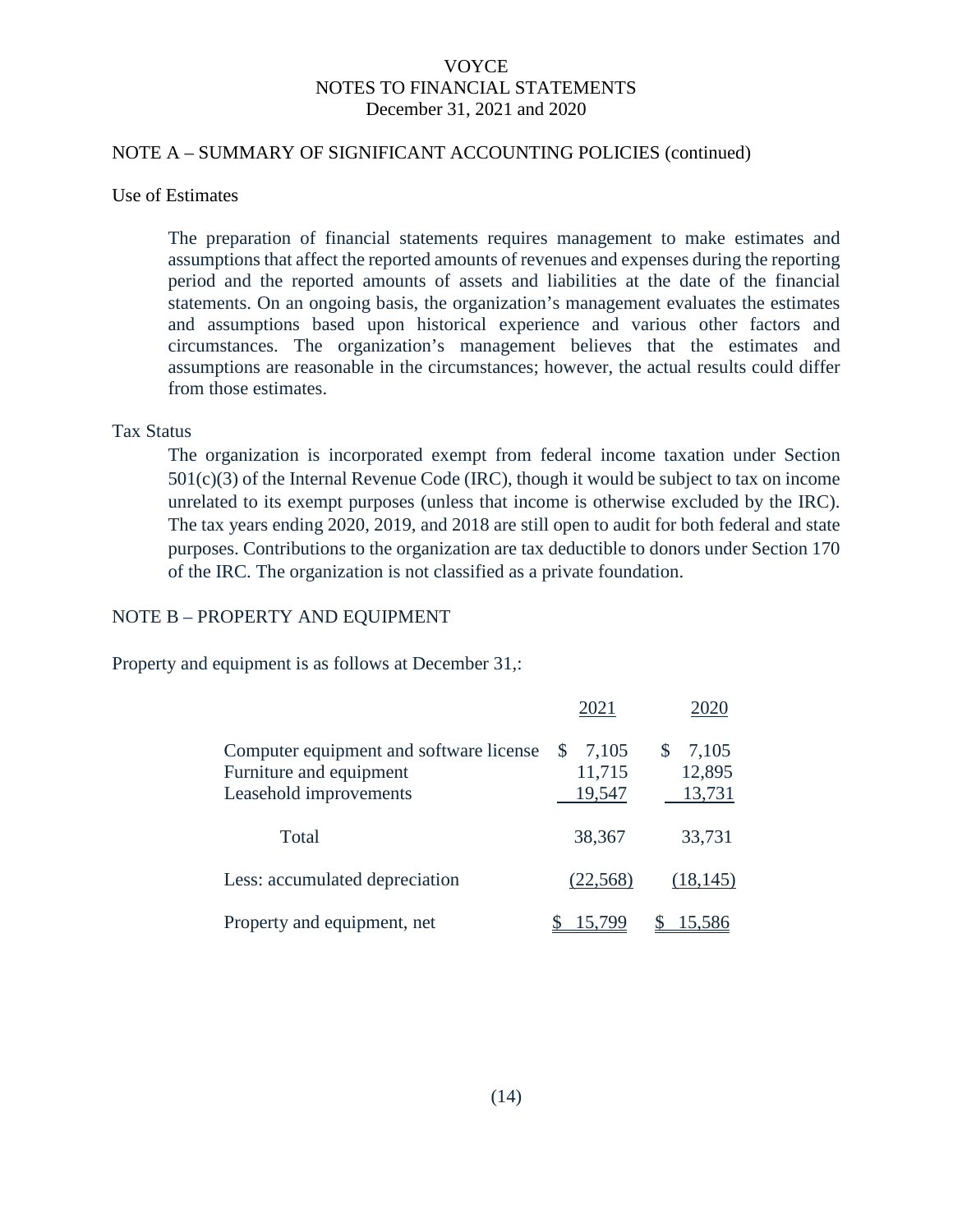#### NOTE A – SUMMARY OF SIGNIFICANT ACCOUNTING POLICIES (continued)

Use of Estimates

The preparation of financial statements requires management to make estimates and assumptions that affect the reported amounts of revenues and expenses during the reporting period and the reported amounts of assets and liabilities at the date of the financial statements. On an ongoing basis, the organization's management evaluates the estimates and assumptions based upon historical experience and various other factors and circumstances. The organization's management believes that the estimates and assumptions are reasonable in the circumstances; however, the actual results could differ from those estimates.

#### Tax Status

The organization is incorporated exempt from federal income taxation under Section  $501(c)(3)$  of the Internal Revenue Code (IRC), though it would be subject to tax on income unrelated to its exempt purposes (unless that income is otherwise excluded by the IRC). The tax years ending 2020, 2019, and 2018 are still open to audit for both federal and state purposes. Contributions to the organization are tax deductible to donors under Section 170 of the IRC. The organization is not classified as a private foundation.

### NOTE B – PROPERTY AND EQUIPMENT

Property and equipment is as follows at December 31,:

|                                                                                              | 2021                                       | 2020                           |
|----------------------------------------------------------------------------------------------|--------------------------------------------|--------------------------------|
| Computer equipment and software license<br>Furniture and equipment<br>Leasehold improvements | $\mathcal{S}$<br>7,105<br>11,715<br>19,547 | 7,105<br>S<br>12,895<br>13,731 |
| Total                                                                                        | 38,367                                     | 33,731                         |
| Less: accumulated depreciation                                                               | (22, 568)                                  | (18, 145)                      |
| Property and equipment, net                                                                  | 15,799                                     | <u>15,586</u>                  |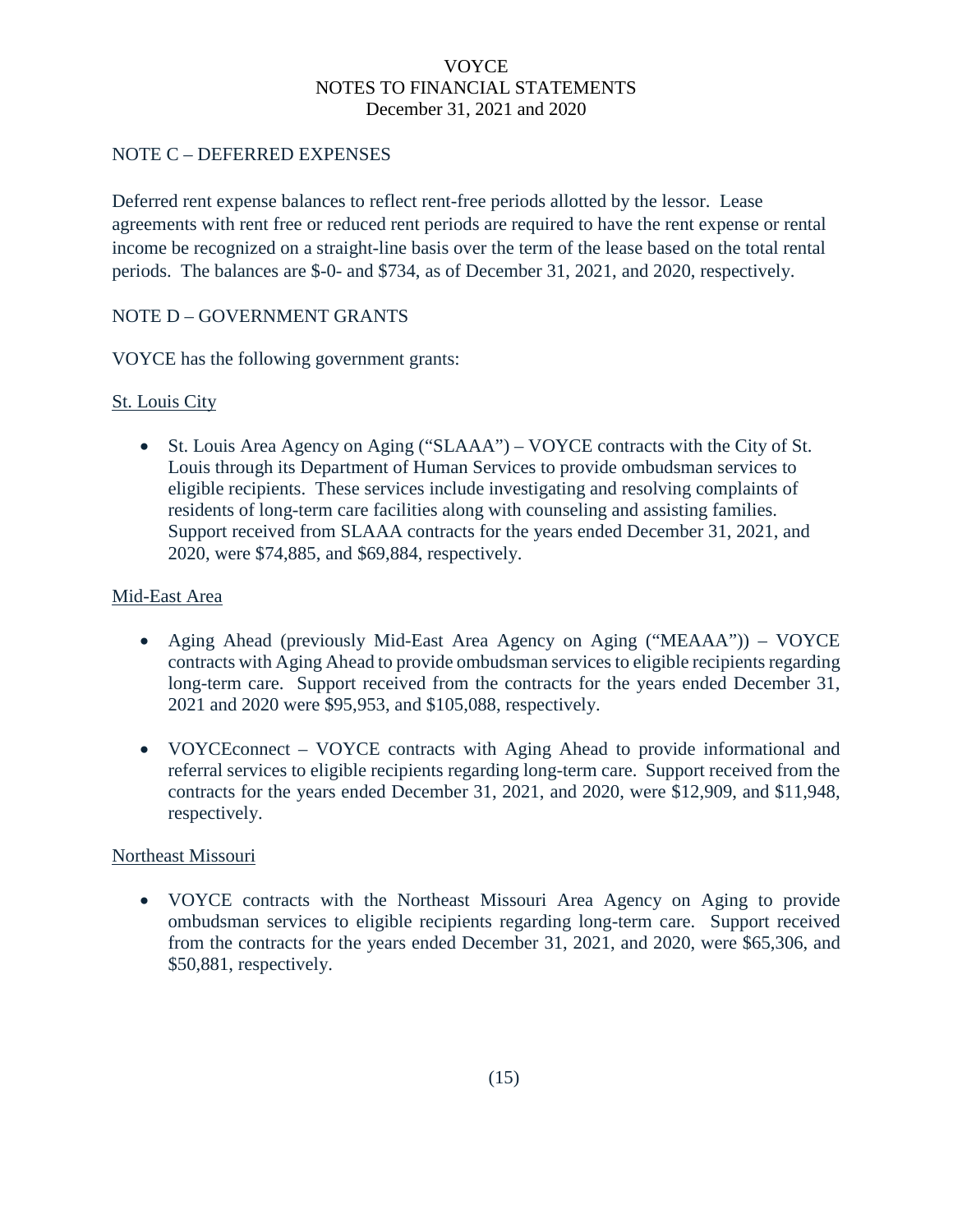# NOTE C – DEFERRED EXPENSES

Deferred rent expense balances to reflect rent-free periods allotted by the lessor. Lease agreements with rent free or reduced rent periods are required to have the rent expense or rental income be recognized on a straight-line basis over the term of the lease based on the total rental periods. The balances are \$-0- and \$734, as of December 31, 2021, and 2020, respectively.

# NOTE D – GOVERNMENT GRANTS

VOYCE has the following government grants:

# St. Louis City

• St. Louis Area Agency on Aging ("SLAAA") – VOYCE contracts with the City of St. Louis through its Department of Human Services to provide ombudsman services to eligible recipients. These services include investigating and resolving complaints of residents of long-term care facilities along with counseling and assisting families. Support received from SLAAA contracts for the years ended December 31, 2021, and 2020, were \$74,885, and \$69,884, respectively.

#### Mid-East Area

- Aging Ahead (previously Mid-East Area Agency on Aging ("MEAAA")) VOYCE contracts with Aging Ahead to provide ombudsman services to eligible recipients regarding long-term care. Support received from the contracts for the years ended December 31, 2021 and 2020 were \$95,953, and \$105,088, respectively.
- VOYCE connect VOYCE contracts with Aging Ahead to provide informational and referral services to eligible recipients regarding long-term care. Support received from the contracts for the years ended December 31, 2021, and 2020, were \$12,909, and \$11,948, respectively.

#### Northeast Missouri

• VOYCE contracts with the Northeast Missouri Area Agency on Aging to provide ombudsman services to eligible recipients regarding long-term care. Support received from the contracts for the years ended December 31, 2021, and 2020, were \$65,306, and \$50,881, respectively.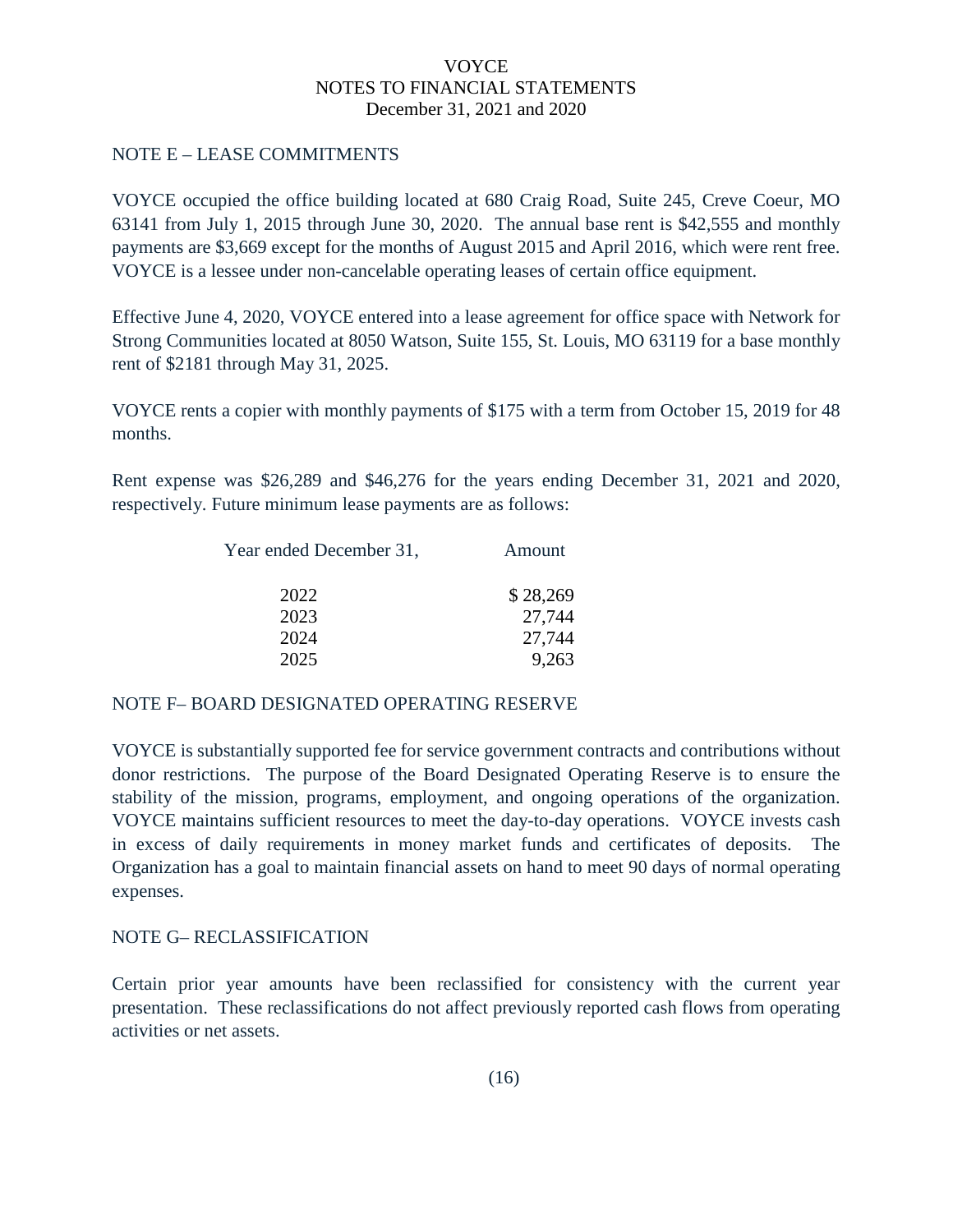# NOTE E – LEASE COMMITMENTS

VOYCE occupied the office building located at 680 Craig Road, Suite 245, Creve Coeur, MO 63141 from July 1, 2015 through June 30, 2020. The annual base rent is \$42,555 and monthly payments are \$3,669 except for the months of August 2015 and April 2016, which were rent free. VOYCE is a lessee under non-cancelable operating leases of certain office equipment.

Effective June 4, 2020, VOYCE entered into a lease agreement for office space with Network for Strong Communities located at 8050 Watson, Suite 155, St. Louis, MO 63119 for a base monthly rent of \$2181 through May 31, 2025.

VOYCE rents a copier with monthly payments of \$175 with a term from October 15, 2019 for 48 months.

Rent expense was \$26,289 and \$46,276 for the years ending December 31, 2021 and 2020, respectively. Future minimum lease payments are as follows:

| Year ended December 31, | Amount   |
|-------------------------|----------|
| 2022                    | \$28,269 |
| 2023                    | 27,744   |
| 2024                    | 27,744   |
| 2025                    | 9,263    |

#### NOTE F– BOARD DESIGNATED OPERATING RESERVE

VOYCE is substantially supported fee for service government contracts and contributions without donor restrictions. The purpose of the Board Designated Operating Reserve is to ensure the stability of the mission, programs, employment, and ongoing operations of the organization. VOYCE maintains sufficient resources to meet the day-to-day operations. VOYCE invests cash in excess of daily requirements in money market funds and certificates of deposits. The Organization has a goal to maintain financial assets on hand to meet 90 days of normal operating expenses.

# NOTE G– RECLASSIFICATION

Certain prior year amounts have been reclassified for consistency with the current year presentation. These reclassifications do not affect previously reported cash flows from operating activities or net assets.